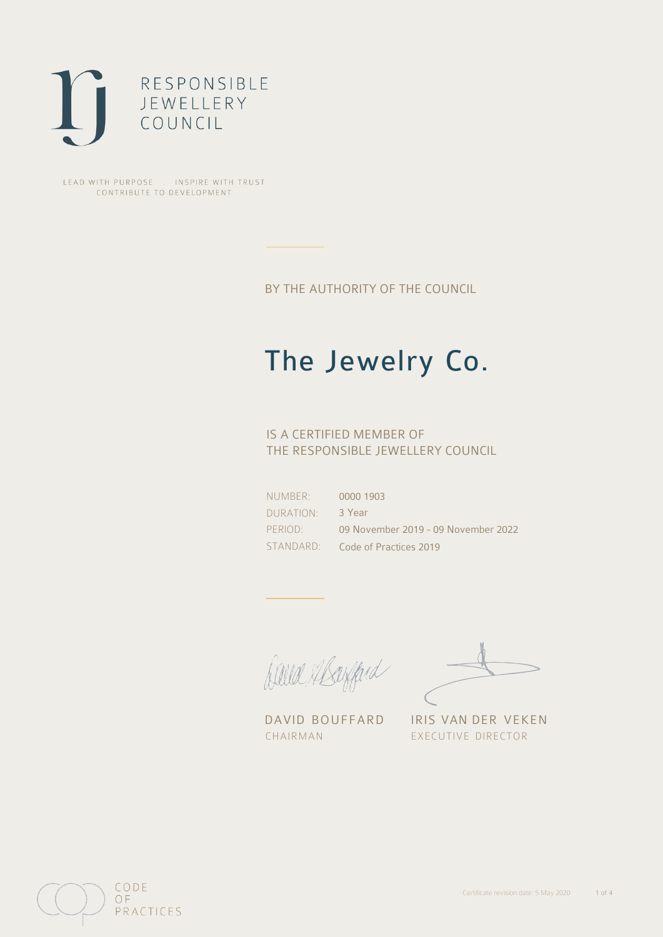

LEAD WITH PURPOSE . INSPIRE WITH TRUST CONTRIBUTE TO DEVELOPMENT

BY THE AUTHORITY OF THE COUNCIL

# The Jewelry Co.

## IS A CERTIFIED MEMBER OF THE RESPONSIBLE JEWELLERY COUNCIL

NUMBER: DURATION: PERIOD: STANDARD: 0000 1903 3 Year 09 November 2019 - 09 November 2022 Code of Practices 2019

Balla Abayfard

DAVID BOUFFARD IRIS VAN DER VEKEN CHAIRMAN EXECUTIVE DIRECTOR

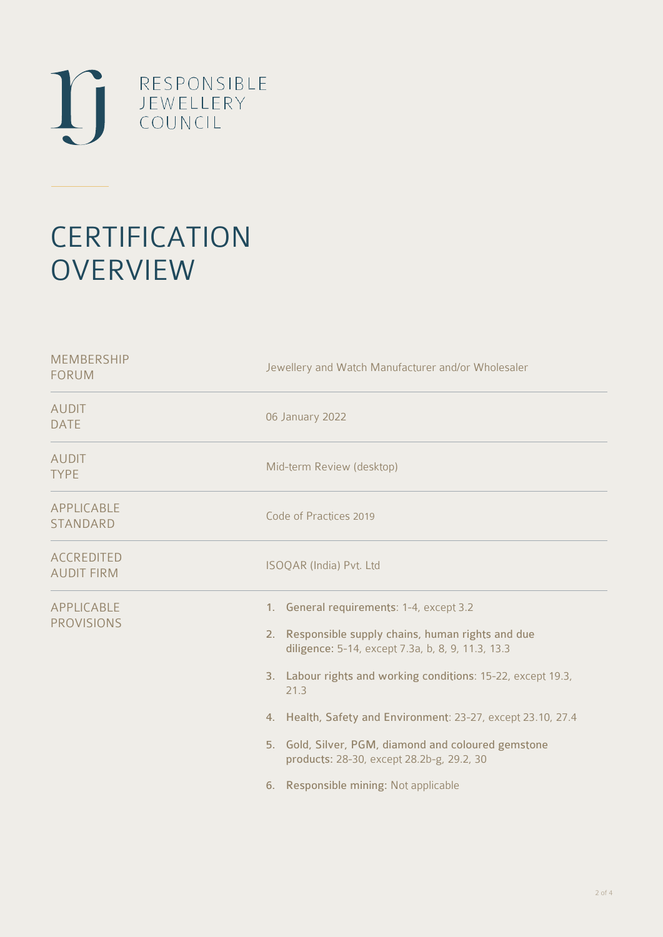

# **CERTIFICATION OVERVIEW**

| Jewellery and Watch Manufacturer and/or Wholesaler                                                                                                                                                                                                                                                                                                                                                                                          |  |  |
|---------------------------------------------------------------------------------------------------------------------------------------------------------------------------------------------------------------------------------------------------------------------------------------------------------------------------------------------------------------------------------------------------------------------------------------------|--|--|
| 06 January 2022                                                                                                                                                                                                                                                                                                                                                                                                                             |  |  |
| Mid-term Review (desktop)                                                                                                                                                                                                                                                                                                                                                                                                                   |  |  |
| Code of Practices 2019                                                                                                                                                                                                                                                                                                                                                                                                                      |  |  |
| ISOQAR (India) Pvt. Ltd                                                                                                                                                                                                                                                                                                                                                                                                                     |  |  |
| 1. General requirements: 1-4, except 3.2<br>2. Responsible supply chains, human rights and due<br>diligence: 5-14, except 7.3a, b, 8, 9, 11.3, 13.3<br>3. Labour rights and working conditions: 15-22, except 19.3,<br>21.3<br>4. Health, Safety and Environment: 23-27, except 23.10, 27.4<br>5. Gold, Silver, PGM, diamond and coloured gemstone<br>products: 28-30, except 28.2b-g, 29.2, 30<br>Responsible mining: Not applicable<br>6. |  |  |
|                                                                                                                                                                                                                                                                                                                                                                                                                                             |  |  |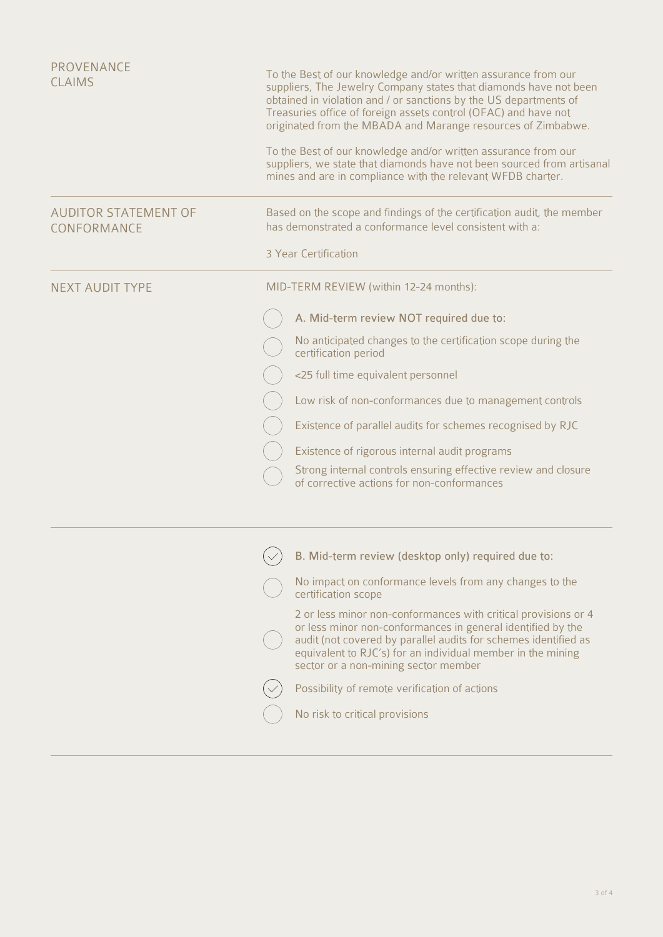| PROVENANCE<br><b>CLAIMS</b>                |                                        | To the Best of our knowledge and/or written assurance from our<br>suppliers, The Jewelry Company states that diamonds have not been<br>obtained in violation and / or sanctions by the US departments of<br>Treasuries office of foreign assets control (OFAC) and have not<br>originated from the MBADA and Marange resources of Zimbabwe.<br>To the Best of our knowledge and/or written assurance from our<br>suppliers, we state that diamonds have not been sourced from artisanal<br>mines and are in compliance with the relevant WFDB charter. |
|--------------------------------------------|----------------------------------------|--------------------------------------------------------------------------------------------------------------------------------------------------------------------------------------------------------------------------------------------------------------------------------------------------------------------------------------------------------------------------------------------------------------------------------------------------------------------------------------------------------------------------------------------------------|
|                                            |                                        |                                                                                                                                                                                                                                                                                                                                                                                                                                                                                                                                                        |
| <b>AUDITOR STATEMENT OF</b><br>CONFORMANCE |                                        | Based on the scope and findings of the certification audit, the member<br>has demonstrated a conformance level consistent with a:                                                                                                                                                                                                                                                                                                                                                                                                                      |
|                                            |                                        | 3 Year Certification                                                                                                                                                                                                                                                                                                                                                                                                                                                                                                                                   |
| <b>NEXT AUDIT TYPE</b>                     | MID-TERM REVIEW (within 12-24 months): |                                                                                                                                                                                                                                                                                                                                                                                                                                                                                                                                                        |
|                                            |                                        | A. Mid-term review NOT required due to:                                                                                                                                                                                                                                                                                                                                                                                                                                                                                                                |
|                                            |                                        | No anticipated changes to the certification scope during the<br>certification period                                                                                                                                                                                                                                                                                                                                                                                                                                                                   |
|                                            |                                        | <25 full time equivalent personnel                                                                                                                                                                                                                                                                                                                                                                                                                                                                                                                     |
|                                            |                                        | Low risk of non-conformances due to management controls                                                                                                                                                                                                                                                                                                                                                                                                                                                                                                |
|                                            |                                        | Existence of parallel audits for schemes recognised by RJC                                                                                                                                                                                                                                                                                                                                                                                                                                                                                             |
|                                            |                                        | Existence of rigorous internal audit programs                                                                                                                                                                                                                                                                                                                                                                                                                                                                                                          |
|                                            |                                        | Strong internal controls ensuring effective review and closure<br>of corrective actions for non-conformances                                                                                                                                                                                                                                                                                                                                                                                                                                           |
|                                            |                                        |                                                                                                                                                                                                                                                                                                                                                                                                                                                                                                                                                        |
|                                            |                                        | B. Mid-term review (desktop only) required due to:                                                                                                                                                                                                                                                                                                                                                                                                                                                                                                     |
|                                            |                                        | No impact on conformance levels from any changes to the<br>certification scope                                                                                                                                                                                                                                                                                                                                                                                                                                                                         |
|                                            |                                        | 2 or less minor non-conformances with critical provisions or 4<br>or less minor non-conformances in general identified by the<br>audit (not covered by parallel audits for schemes identified as<br>equivalent to RJC's) for an individual member in the mining<br>sector or a non-mining sector member                                                                                                                                                                                                                                                |
|                                            |                                        | Possibility of remote verification of actions                                                                                                                                                                                                                                                                                                                                                                                                                                                                                                          |
|                                            |                                        | No risk to critical provisions                                                                                                                                                                                                                                                                                                                                                                                                                                                                                                                         |
|                                            |                                        |                                                                                                                                                                                                                                                                                                                                                                                                                                                                                                                                                        |